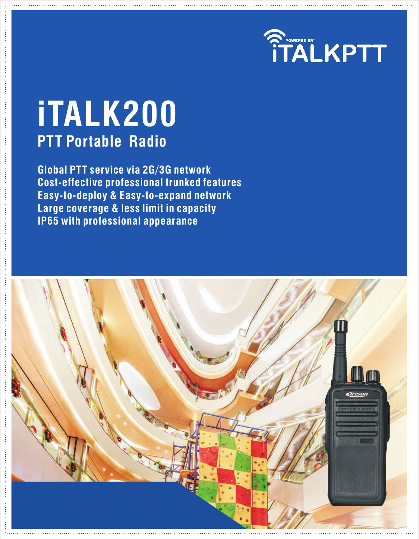

# **PTT Portable Radio iTALK200**

**Global PTT service via 2G/3G network Cost-effective professional trunked features Easy-to-deploy & Easy-to-expand network Large coverage & less limit in capacity IP65 with professional appearance**